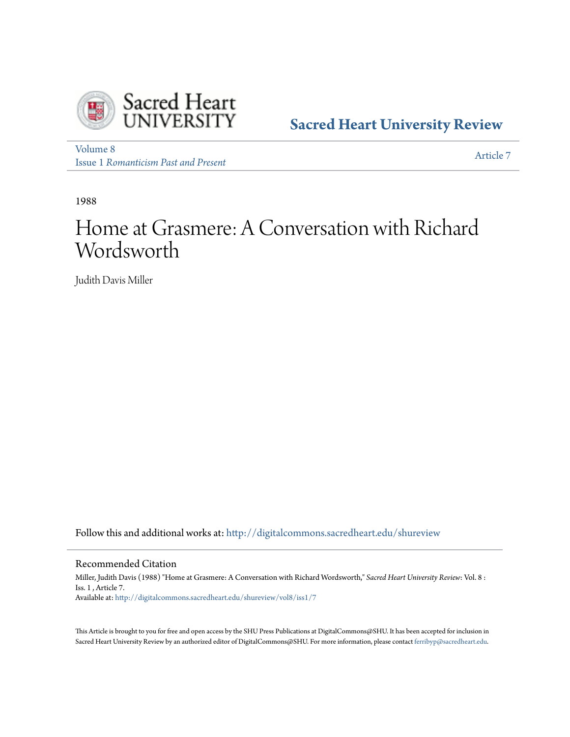

**[Sacred Heart University Review](http://digitalcommons.sacredheart.edu/shureview?utm_source=digitalcommons.sacredheart.edu%2Fshureview%2Fvol8%2Fiss1%2F7&utm_medium=PDF&utm_campaign=PDFCoverPages)**

[Volume 8](http://digitalcommons.sacredheart.edu/shureview/vol8?utm_source=digitalcommons.sacredheart.edu%2Fshureview%2Fvol8%2Fiss1%2F7&utm_medium=PDF&utm_campaign=PDFCoverPages) Issue 1 *[Romanticism Past and Present](http://digitalcommons.sacredheart.edu/shureview/vol8/iss1?utm_source=digitalcommons.sacredheart.edu%2Fshureview%2Fvol8%2Fiss1%2F7&utm_medium=PDF&utm_campaign=PDFCoverPages)*

[Article 7](http://digitalcommons.sacredheart.edu/shureview/vol8/iss1/7?utm_source=digitalcommons.sacredheart.edu%2Fshureview%2Fvol8%2Fiss1%2F7&utm_medium=PDF&utm_campaign=PDFCoverPages)

1988

# Home at Grasmere: A Conversation with Richard Wordsworth

Judith Davis Miller

Follow this and additional works at: [http://digitalcommons.sacredheart.edu/shureview](http://digitalcommons.sacredheart.edu/shureview?utm_source=digitalcommons.sacredheart.edu%2Fshureview%2Fvol8%2Fiss1%2F7&utm_medium=PDF&utm_campaign=PDFCoverPages)

Recommended Citation

Miller, Judith Davis (1988) "Home at Grasmere: A Conversation with Richard Wordsworth," *Sacred Heart University Review*: Vol. 8 : Iss. 1 , Article 7. Available at: [http://digitalcommons.sacredheart.edu/shureview/vol8/iss1/7](http://digitalcommons.sacredheart.edu/shureview/vol8/iss1/7?utm_source=digitalcommons.sacredheart.edu%2Fshureview%2Fvol8%2Fiss1%2F7&utm_medium=PDF&utm_campaign=PDFCoverPages)

This Article is brought to you for free and open access by the SHU Press Publications at DigitalCommons@SHU. It has been accepted for inclusion in Sacred Heart University Review by an authorized editor of DigitalCommons@SHU. For more information, please contact [ferribyp@sacredheart.edu](mailto:ferribyp@sacredheart.edu).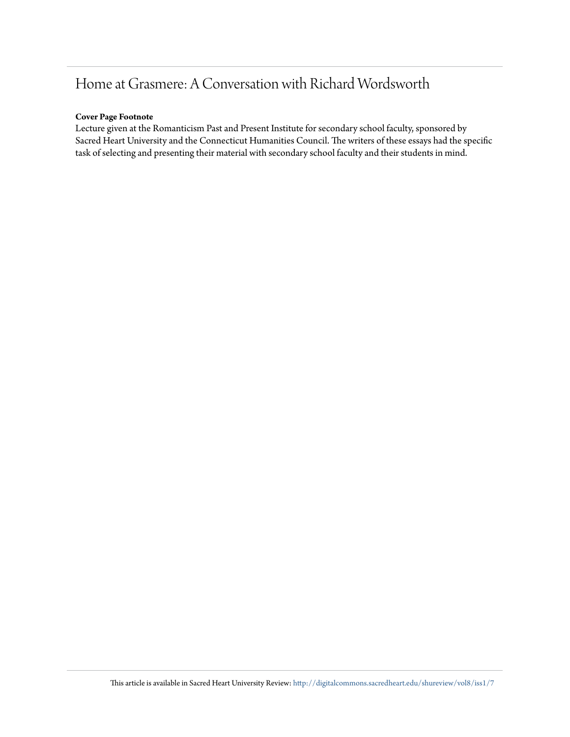## Home at Grasmere: A Conversation with Richard Wordsworth

#### **Cover Page Footnote**

Lecture given at the Romanticism Past and Present Institute for secondary school faculty, sponsored by Sacred Heart University and the Connecticut Humanities Council. The writers of these essays had the specific task of selecting and presenting their material with secondary school faculty and their students in mind.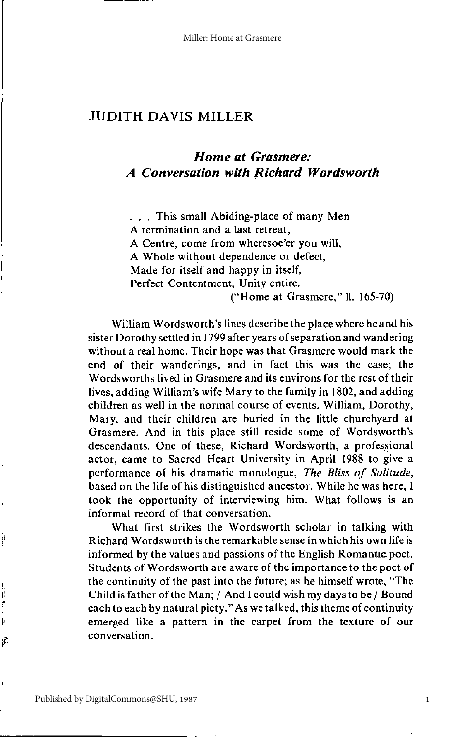### **JUDITH DAVIS MILLER**

## Home at Grasmere: **A Conversation with Richard Wordsworth**

... This small Abiding-place of many Men A termination and a last retreat, A Centre, come from wheresoe'er you will, A Whole without dependence or defect, Made for itself and happy in itself, Perfect Contentment, Unity entire. ("Home at Grasmere," ll. 165-70)

William Wordsworth's lines describe the place where he and his sister Dorothy settled in 1799 after years of separation and wandering without a real home. Their hope was that Grasmere would mark the end of their wanderings, and in fact this was the case; the Wordsworths lived in Grasmere and its environs for the rest of their lives, adding William's wife Mary to the family in 1802, and adding children as well in the normal course of events. William, Dorothy, Mary, and their children are buried in the little churchyard at Grasmere. And in this place still reside some of Wordsworth's descendants. One of these, Richard Wordsworth, a professional actor, came to Sacred Heart University in April 1988 to give a performance of his dramatic monologue, The Bliss of Solitude, based on the life of his distinguished ancestor. While he was here, I took the opportunity of interviewing him. What follows is an informal record of that conversation.

What first strikes the Wordsworth scholar in talking with Richard Wordsworth is the remarkable sense in which his own life is informed by the values and passions of the English Romantic poet. Students of Wordsworth are aware of the importance to the poet of the continuity of the past into the future; as he himself wrote, "The Child is father of the Man; / And I could wish my days to be / Bound each to each by natural piety." As we talked, this theme of continuity emerged like a pattern in the carpet from the texture of our conversation.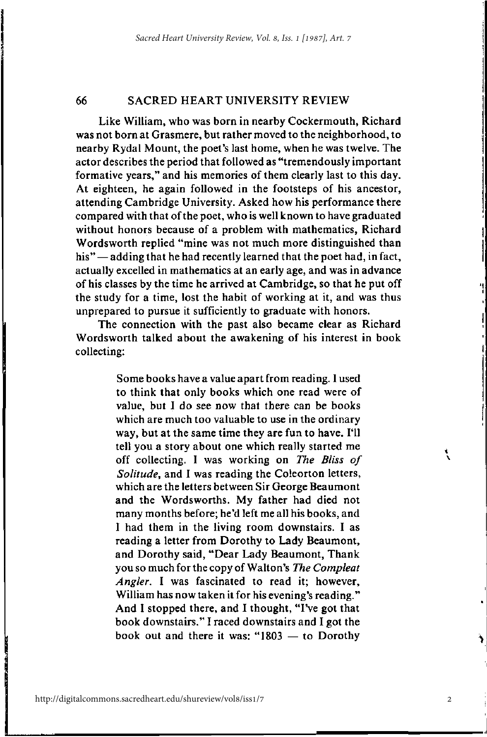66

#### **SACRED HEART UNIVERSITY REVIEW**

Like William, who was born in nearby Cockermouth, Richard was not born at Grasmere, but rather moved to the neighborhood, to nearby Rydal Mount, the poet's last home, when he was twelve. The actor describes the period that followed as "tremendously important formative years," and his memories of them clearly last to this day. At eighteen, he again followed in the footsteps of his ancestor, attending Cambridge University. Asked how his performance there compared with that of the poet, who is well known to have graduated without honors because of a problem with mathematics, Richard Wordsworth replied "mine was not much more distinguished than his" — adding that he had recently learned that the poet had, in fact, actually excelled in mathematics at an early age, and was in advance of his classes by the time he arrived at Cambridge, so that he put off the study for a time, lost the habit of working at it, and was thus unprepared to pursue it sufficiently to graduate with honors.

The connection with the past also became clear as Richard Wordsworth talked about the awakening of his interest in book collecting:

> Some books have a value apart from reading. I used to think that only books which one read were of value, but I do see now that there can be books which are much too valuable to use in the ordinary way, but at the same time they are fun to have. I'll tell you a story about one which really started me off collecting. I was working on The Bliss of Solitude, and I was reading the Coleorton letters, which are the letters between Sir George Beaumont and the Wordsworths. My father had died not many months before; he'd left me all his books, and I had them in the living room downstairs. I as reading a letter from Dorothy to Lady Beaumont, and Dorothy said, "Dear Lady Beaumont, Thank you so much for the copy of Walton's The Compleat Angler. I was fascinated to read it; however, William has now taken it for his evening's reading." And I stopped there, and I thought, "I've got that book downstairs." I raced downstairs and I got the book out and there it was: " $1803 -$  to Dorothy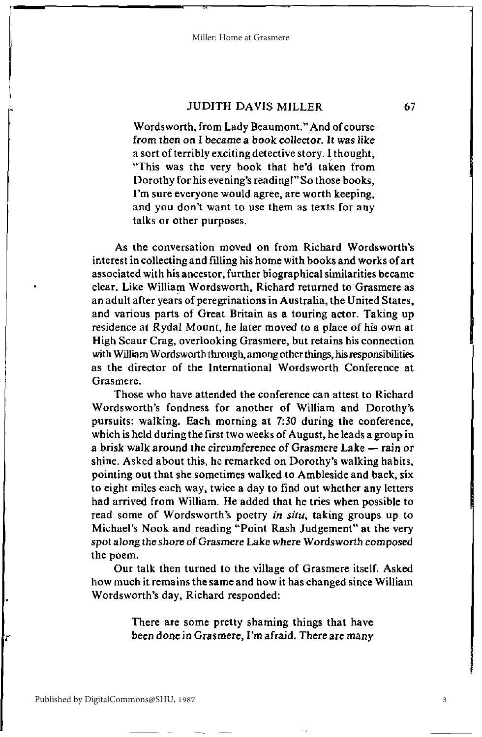#### **JUDITH DAVIS MILLER**

Wordsworth, from Lady Beaumont." And of course from then on I became a book collector. It was like a sort of terribly exciting detective story. I thought, "This was the very book that he'd taken from Dorothy for his evening's reading!" So those books. I'm sure everyone would agree, are worth keeping. and you don't want to use them as texts for any talks or other purposes.

As the conversation moved on from Richard Wordsworth's interest in collecting and filling his home with books and works of art associated with his ancestor, further biographical similarities became clear, Like William Wordsworth, Richard returned to Grasmere as an adult after years of peregrinations in Australia, the United States, and various parts of Great Britain as a touring actor. Taking up residence at Rydal Mount, he later moved to a place of his own at High Scaur Crag, overlooking Grasmere, but retains his connection with William Wordsworth through, among other things, his responsibilities as the director of the International Wordsworth Conference at **Grasmere** 

Those who have attended the conference can attest to Richard Wordsworth's fondness for another of William and Dorothy's pursuits: walking. Each morning at 7:30 during the conference, which is held during the first two weeks of August, he leads a group in a brisk walk around the circumference of Grasmere Lake — rain or shine. Asked about this, he remarked on Dorothy's walking habits, pointing out that she sometimes walked to Ambleside and back, six to eight miles each way, twice a day to find out whether any letters had arrived from William. He added that he tries when possible to read some of Wordsworth's poetry in situ, taking groups up to Michael's Nook and reading "Point Rash Judgement" at the very spot along the shore of Grasmere Lake where Wordsworth composed the poem.

Our talk then turned to the village of Grasmere itself. Asked how much it remains the same and how it has changed since William Wordsworth's day, Richard responded:

> There are some pretty shaming things that have been done in Grasmere, I'm afraid. There are many

3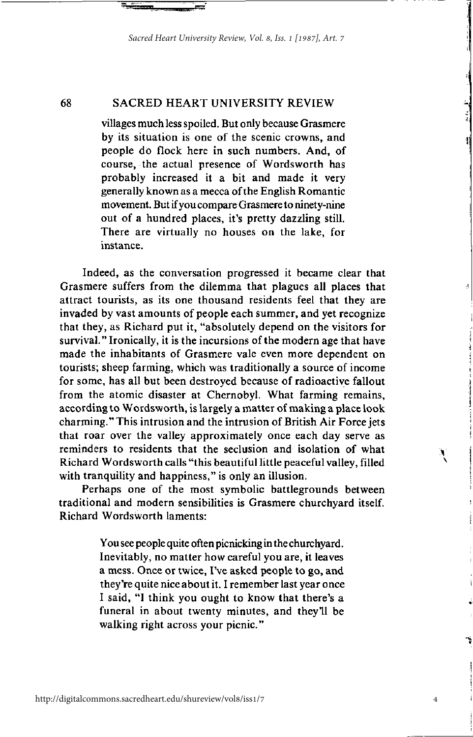#### 68 **SACRED HEART UNIVERSITY REVIEW**

villages much less spoiled. But only because Grasmere by its situation is one of the scenic crowns, and people do flock here in such numbers. And, of course, the actual presence of Wordsworth has probably increased it a bit and made it very generally known as a mecca of the English Romantic movement. But if you compare Grasmere to ninety-nine out of a hundred places, it's pretty dazzling still. There are virtually no houses on the lake, for instance

Indeed, as the conversation progressed it became clear that Grasmere suffers from the dilemma that plagues all places that attract tourists, as its one thousand residents feel that they are invaded by vast amounts of people each summer, and yet recognize that they, as Richard put it, "absolutely depend on the visitors for survival." Ironically, it is the incursions of the modern age that have made the inhabitants of Grasmere vale even more dependent on tourists; sheep farming, which was traditionally a source of income for some, has all but been destroyed because of radioactive fallout from the atomic disaster at Chernobyl. What farming remains, according to Wordsworth, is largely a matter of making a place look charming." This intrusion and the intrusion of British Air Force jets that roar over the valley approximately once each day serve as reminders to residents that the seclusion and isolation of what Richard Wordsworth calls "this beautiful little peaceful valley, filled with tranquility and happiness," is only an illusion.

Perhaps one of the most symbolic battlegrounds between traditional and modern sensibilities is Grasmere churchyard itself. Richard Wordsworth laments:

> You see people quite often picnicking in the churchyard. Inevitably, no matter how careful you are, it leaves a mess. Once or twice, I've asked people to go, and they're quite nice about it. I remember last year once I said, "I think you ought to know that there's a funeral in about twenty minutes, and they'll be walking right across your picnic."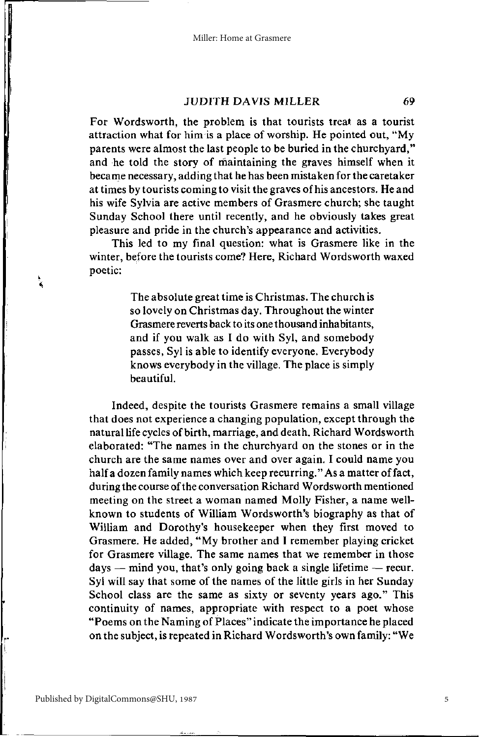#### **JUDITH DAVIS MILLER**

69

For Wordsworth, the problem is that tourists treat as a tourist attraction what for him is a place of worship. He pointed out, "My parents were almost the last people to be buried in the churchyard." and he told the story of maintaining the graves himself when it became necessary, adding that he has been mistaken for the caretaker at times by tourists coming to visit the graves of his ancestors. He and his wife Sylvia are active members of Grasmere church: she taught Sunday School there until recently, and he obviously takes great pleasure and pride in the church's appearance and activities.

This led to my final question: what is Grasmere like in the winter, before the tourists come? Here, Richard Wordsworth waxed poetic:

> The absolute great time is Christmas. The church is so lovely on Christmas day. Throughout the winter Grasmere reverts back to its one thousand inhabitants, and if you walk as I do with Syl, and somebody passes, Syl is able to identify everyone. Everybody knows everybody in the village. The place is simply beautiful.

Indeed, despite the tourists Grasmere remains a small village that does not experience a changing population, except through the natural life cycles of birth, marriage, and death, Richard Wordsworth elaborated: "The names in the churchyard on the stones or in the church are the same names over and over again. I could name you half a dozen family names which keep recurring." As a matter of fact, during the course of the conversation Richard Wordsworth mentioned meeting on the street a woman named Molly Fisher, a name wellknown to students of William Wordsworth's biography as that of William and Dorothy's housekeeper when they first moved to Grasmere. He added, "My brother and I remember playing cricket for Grasmere village. The same names that we remember in those days — mind you, that's only going back a single lifetime — recur. Syl will say that some of the names of the little girls in her Sunday School class are the same as sixty or seventy years ago." This continuity of names, appropriate with respect to a poet whose "Poems on the Naming of Places" indicate the importance he placed on the subject, is repeated in Richard Wordsworth's own family: "We

 $\frac{1}{2}$